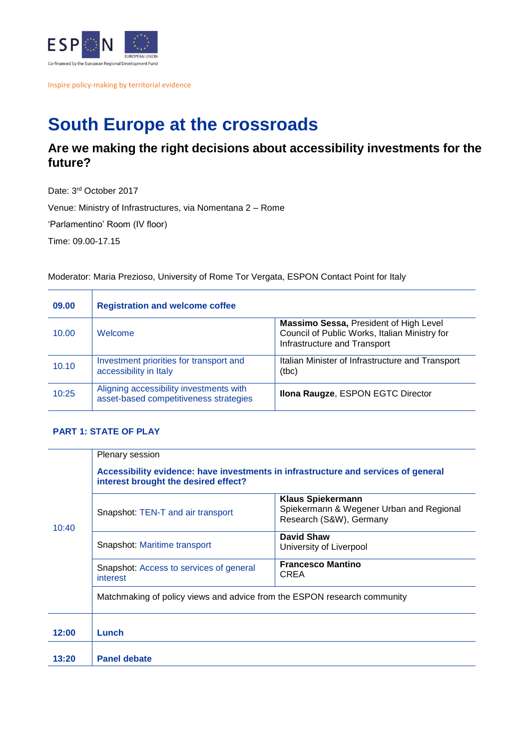

Inspire policy-making by territorial evidence

## **South Europe at the crossroads**

## **Are we making the right decisions about accessibility investments for the future?**

Date: 3rd October 2017 Venue: Ministry of Infrastructures, via Nomentana 2 – Rome

'Parlamentino' Room (IV floor)

Time: 09.00-17.15

Moderator: Maria Prezioso, University of Rome Tor Vergata, ESPON Contact Point for Italy

| 09.00 | <b>Registration and welcome coffee</b>                                            |                                                                                                                                |
|-------|-----------------------------------------------------------------------------------|--------------------------------------------------------------------------------------------------------------------------------|
| 10.00 | Welcome                                                                           | <b>Massimo Sessa, President of High Level</b><br>Council of Public Works, Italian Ministry for<br>Infrastructure and Transport |
| 10.10 | Investment priorities for transport and<br>accessibility in Italy                 | Italian Minister of Infrastructure and Transport<br>(tbc)                                                                      |
| 10:25 | Aligning accessibility investments with<br>asset-based competitiveness strategies | Ilona Raugze, ESPON EGTC Director                                                                                              |

## **PART 1: STATE OF PLAY**

|       | Plenary session<br>Accessibility evidence: have investments in infrastructure and services of general<br>interest brought the desired effect? |                                                                                                 |  |
|-------|-----------------------------------------------------------------------------------------------------------------------------------------------|-------------------------------------------------------------------------------------------------|--|
| 10:40 | Snapshot: TEN-T and air transport                                                                                                             | <b>Klaus Spiekermann</b><br>Spiekermann & Wegener Urban and Regional<br>Research (S&W), Germany |  |
|       | Snapshot: Maritime transport                                                                                                                  | David Shaw<br>University of Liverpool                                                           |  |
|       | Snapshot: Access to services of general<br>interest                                                                                           | <b>Francesco Mantino</b><br>CREA                                                                |  |
|       | Matchmaking of policy views and advice from the ESPON research community                                                                      |                                                                                                 |  |
| 12:00 | Lunch                                                                                                                                         |                                                                                                 |  |
| 13:20 | <b>Panel debate</b>                                                                                                                           |                                                                                                 |  |